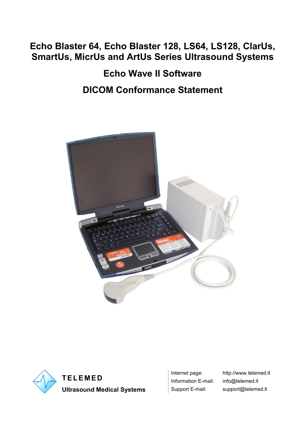# **Echo Blaster 64, Echo Blaster 128, LS64, LS128, ClarUs, SmartUs, MicrUs and ArtUs Series Ultrasound Systems**

**Echo Wave II Software DICOM Conformance Statement**





**Ultrasound Medical Systems** Support E-mail: support@telemed.lt

Information E-mail: info@telemed.lt

Internet page: http://www.telemed.lt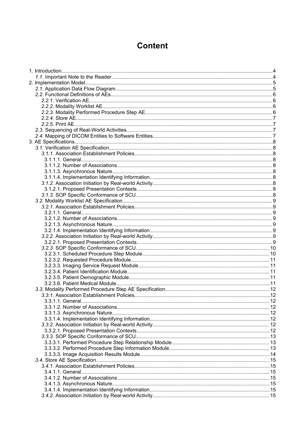# **Content**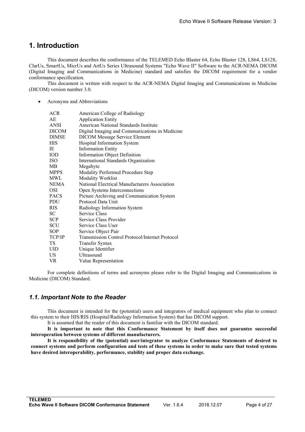# <span id="page-3-1"></span><span id="page-3-0"></span>**1. Introduction**

This document describes the conformance of the TELEMED Echo Blaster 64, Echo Blaster 128, LS64, LS128, ClarUs, SmartUs, MicrUs and ArtUs Series Ultrasound Systems "Echo Wave II" Software to the ACR-NEMA DICOM (Digital Imaging and Communications in Medicine) standard and satisfies the DICOM requirement for a vendor conformance specification.

This document is written with respect to the ACR-NEMA Digital Imaging and Communications in Medicine (DICOM) version number 3.0.

Acronyms and Abbreviations

| <b>ACR</b>   | American College of Radiology                          |
|--------------|--------------------------------------------------------|
| AE           | <b>Application Entity</b>                              |
| ANSI         | American National Standards Institute                  |
| <b>DICOM</b> | Digital Imaging and Communications in Medicine         |
| <b>DIMSE</b> | <b>DICOM Message Service Element</b>                   |
| <b>HIS</b>   | Hospital Information System                            |
| IE.          | <b>Information Entity</b>                              |
| <b>IOD</b>   | Information Object Definition                          |
| ISO.         | International Standards Organization                   |
| MВ           | Megabyte                                               |
| <b>MPPS</b>  | Modality Performed Procedure Step                      |
| <b>MWL</b>   | Modality Worklist                                      |
| NEMA         | National Electrical Manufacturers Association          |
| OSI          | Open Systems Interconnections                          |
| <b>PACS</b>  | Picture Archiving and Communication System             |
| <b>PDU</b>   | Protocol Data Unit                                     |
| RIS -        | Radiology Information System                           |
| SC.          | Service Class                                          |
| <b>SCP</b>   | Service Class Provider                                 |
| <b>SCU</b>   | Service Class User                                     |
| <b>SOP</b>   | Service Object Pair                                    |
| TCP/IP       | <b>Transmission Control Protocol/Internet Protocol</b> |
| TS.          | Transfer Syntax                                        |
| <b>UID</b>   | Unique Identifier                                      |
| US.          | Ultrasound                                             |
| VR.          | Value Representation                                   |
|              |                                                        |

For complete definitions of terms and acronyms please refer to the Digital Imaging and Communications in Medicine (DICOM) Standard.

#### *1.1. Important Note to the Reader*

This document is intended for the (potential) users and integrators of medical equipment who plan to connect this system to their HIS/RIS (Hospital/Radiology Information System) that has DICOM support.

It is assumed that the reader of this document is familiar with the DICOM standard.

**It is important to note that this Conformance Statement by itself does not guarantee successful interoperation** between systems of different manufacturers.

**It is responsibility of the (potential) user/integrator to analyze Conformance Statements of desired to** connect systems and perform configuration and tests of these systems in order to make sure that tested systems **have desired interoperability, performance, stability and proper data exchange.**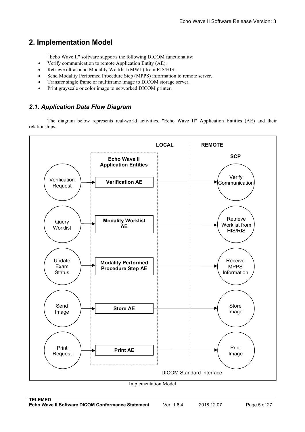# <span id="page-4-1"></span><span id="page-4-0"></span>**2. Implementation Model**

"Echo Wave II" software supports the following DICOM functionality:

- Verify communication to remote Application Entity (AE).
- Retrieve ultrasound Modality Worklist (MWL) from RIS/HIS.
- Send Modality Performed Procedure Step (MPPS) information to remote server.
- Transfer single frame or multiframe image to DICOM storage server.
- Print grayscale or color image to networked DICOM printer.

# *2.1. Application Data Flow Diagram*

The diagram below represents real-world activities, "Echo Wave II" Application Entities (AE) and their relationships.

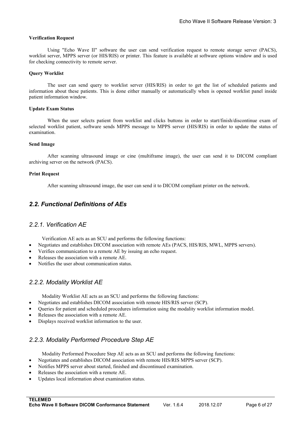#### <span id="page-5-1"></span><span id="page-5-0"></span>**Verification Request**

Using "Echo Wave II" software the user can send verification request to remote storage server (PACS), worklist server, MPPS server (or HIS/RIS) or printer. This feature is available at software options window and is used for checking connectivity to remote server.

#### **Query Worklist**

The user can send query to worklist server (HIS/RIS) in order to get the list of scheduled patients and information about these patients.This is done either manually or automatically when is opened worklist panel inside patient information window.

#### **Update Exam Status**

When the user selects patient from worklist and clicks buttons in order to start/finish/discontinue exam of selected worklist patient, software sends MPPS message to MPPS server (HIS/RIS) in order to update the status of examination.

#### **Send Image**

After scanning ultrasound image or cine (multiframe image), the user can send it to DICOM compliant archiving server on the network (PACS).

#### **Print Request**

After scanning ultrasound image, the user can send it to DICOM compliant printer on the network.

# *2.2. Functional Definitions of AEs*

#### *2.2.1. Verification AE*

Verification AE acts as an SCU and performs the following functions:

- Negotiates and establishes DICOM association with remote AEs (PACS, HIS/RIS, MWL, MPPS servers).
- Verifies communication to a remote AE by issuing an echo request.
- Releases the association with a remote AE.
- Notifies the user about communication status.

#### *2.2.2. Modality Worklist AE*

Modality Worklist AE acts as an SCU and performs the following functions:

- Negotiates and establishes DICOM association with remote HIS/RIS server (SCP).
- Queries for patient and scheduled procedures information using the modality worklist information model.
- Releases the association with a remote AE.
- Displays received worklist information to the user.

# *2.2.3. Modality Performed Procedure Step AE*

Modality Performed Procedure Step AE acts as an SCU and performs the following functions:

- Negotiates and establishes DICOM association with remote HIS/RIS MPPS server (SCP).
- Notifies MPPS server about started, finished and discontinued examination.
- Releases the association with a remote AE.
- Updates local information about examination status.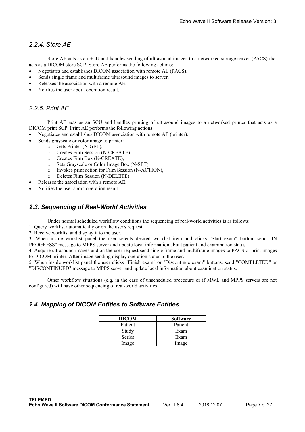## <span id="page-6-1"></span><span id="page-6-0"></span>*2.2.4. Store AE*

Store AE acts as an SCU and handles sending of ultrasound images to a networked storage server (PACS) that acts as a DICOM store SCP. Store AE performs the following actions:

- Negotiates and establishes DICOM association with remote AE (PACS).
- Sends single frame and multiframe ultrasound images to server.
- Releases the association with a remote AE.
- Notifies the user about operation result.

#### *2.2.5. Print AE*

Print AE acts as an SCU and handles printing of ultrasound images to a networked printer that acts as a DICOM print SCP. Print AE performs the following actions:

- Negotiates and establishes DICOM association with remote AE (printer).
- Sends grayscale or color image to printer:
	- o Gets Printer (N-GET),
	- o Creates Film Session (N-CREATE),
	- o Creates Film Box (N-CREATE),
	- o Sets Grayscale or Color Image Box (N-SET),
	- o Invokes printaction for Film Session (N-ACTION),
	- o Deletes Film Session (N-DELETE).
- Releases the association with a remote AE.
- Notifies the user about operation result.

#### *2.3. Sequencing of Real-World Activities*

Under normal scheduled workflow conditions the sequencing of real-world activities is as follows:

1. Query worklist automatically or on the user's request.

2. Receive worklist and display it to the user.

3. When inside worklist panel the user selects desired worklist item and clicks "Start exam" button, send "IN PROGRESS" message to MPPS server and update local information about patient and examination status.

4. Acquire ultrasound images and on the user request send single frame and multiframe images to PACS or print images to DICOM printer. After image sending display operation status to the user.

5. When inside worklist panel the user clicks "Finish exam" or "Discontinue exam" buttons, send "COMPLETED" or "DISCONTINUED" message to MPPS server and update local information about examination status.

Other workflow situations (e.g. in the case of unscheduled procedure or if MWL and MPPS servers are not configured) will have other sequencing of real-world activities.

#### *2.4. Mapping of DICOM Entities to Software Entities*

| <b>DICOM</b>  | <b>Software</b> |
|---------------|-----------------|
| Patient       | Patient         |
| Study         | Exam            |
| <b>Series</b> | Exam            |
| Image         | Image           |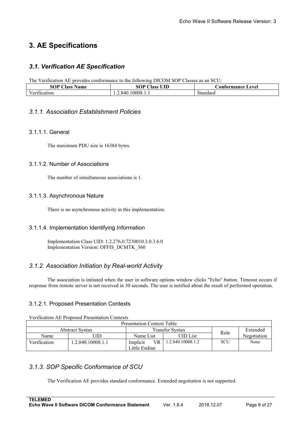# <span id="page-7-3"></span><span id="page-7-2"></span><span id="page-7-1"></span><span id="page-7-0"></span>**3. AE Specifications**

# *3.1. Verification AE Specification*

The Verification AE provides conformance to the following DICOM SOP Classesas an SCU:

| SOP<br>$\sim$<br>Name<br>Aass       | UID<br>$\sim$<br>в.<br>-1985<br>. | evel.<br><b>Cormance</b> is<br>ontol<br>ww |
|-------------------------------------|-----------------------------------|--------------------------------------------|
| T<br>. .<br>$V \rho^{n+1}$<br>٬٬۱۸۴ | '0008<br>840<br>.                 |                                            |

#### *3.1.1. Association Establishment Policies*

#### 3.1.1.1. General

The maximum PDU size is 16384 bytes.

#### 3.1.1.2. Number of Associations

The number of simultaneous associations is 1.

#### 3.1.1.3. Asynchronous Nature

There is no asynchronous activity in this implementation.

#### 3.1.1.4. Implementation Identifying Information

Implementation Class UID: 1.2.276.0.7230010.3.0.3.6.0 Implementation Version: OFFIS\_DCMTK\_360

# *3.1.2. Association Initiation by Real-world Activity*

The association is initiated when the user in software options window clicks "Echo" button.Timeout occurs if response from remote server is not received in 30 seconds. The user is notified about the result of performed operation.

#### 3.1.2.1. Proposed Presentation Contexts

Verification AE Proposed Presentation Contexts

| <b>Presentation Context Table</b>                     |                  |                       |                   |      |             |  |  |  |  |
|-------------------------------------------------------|------------------|-----------------------|-------------------|------|-------------|--|--|--|--|
| <b>Transfer Syntax</b><br>Extended<br>Abstract Svntax |                  |                       |                   |      |             |  |  |  |  |
| Name                                                  | JID              | Name List             | <b>UID</b> List   | Role | Negotiation |  |  |  |  |
| Verification                                          | .2.840.10008.1.1 | <b>VR</b><br>Implicit | 1.2.840.10008.1.2 | SCU  | None        |  |  |  |  |
|                                                       |                  | Little Endian         |                   |      |             |  |  |  |  |

# *3.1.3. SOP Specific Conformance of SCU*

The Verification AE provides standard conformance. Extended negotiation is not supported.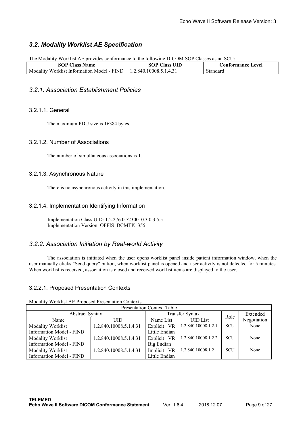# <span id="page-8-2"></span><span id="page-8-1"></span><span id="page-8-0"></span>*3.2. Modality WorklistAE Specification*

The Modality Worklist AE provides conformance to the following DICOM SOP Classes as an SCU:

| $\sim$ $\sim$<br>слр<br>$\sim$<br>. vame<br>Aasc<br>v                                       | <b>TITD</b><br>- 1966                                             | ævel<br>' C |
|---------------------------------------------------------------------------------------------|-------------------------------------------------------------------|-------------|
| <b>TILL IT</b><br>∃IN∟<br>M<br>In:<br>Model<br>W ork<br>$\chi$ 11 st<br>ormatior<br>٦я<br>- | $\sim$<br>840<br>0008<br>Д<br>$\cdot$ . $\circ$<br>──т \ ノ .<br>. | .512°       |

#### *3.2.1. Association Establishment Policies*

#### 3.2.1.1. General

The maximum PDU size is 16384 bytes.

#### 3.2.1.2. Number of Associations

The number of simultaneous associations is 1.

#### 3.2.1.3. Asynchronous Nature

There is no asynchronous activity in this implementation.

#### 3.2.1.4. Implementation Identifying Information

Implementation Class UID: 1.2.276.0.7230010.3.0.3.5.5 Implementation Version: OFFIS\_DCMTK\_355

# *3.2.2. Association Initiation by Real-world Activity*

The association is initiated when the user opens worklist panel inside patient information window, when the user manually clicks "Send query" button, when worklist panel is opened and user activity is not detected for 5 minutes. When worklist is received, association is closed and received worklist items are displayed to the user.

#### 3.2.2.1. Proposed Presentation Contexts

| <b>INVARILY, WORKHOUTED I TOPODUG I TUDUINGHOIT COMMUNIO</b> |                        |               |                     |      |             |  |  |  |  |
|--------------------------------------------------------------|------------------------|---------------|---------------------|------|-------------|--|--|--|--|
| <b>Presentation Context Table</b>                            |                        |               |                     |      |             |  |  |  |  |
| <b>Abstract Syntax</b>                                       |                        | Extended      |                     |      |             |  |  |  |  |
| Name                                                         | UID                    | Name List     | <b>UID</b> List     | Role | Negotiation |  |  |  |  |
| Modality Worklist                                            | 1.2.840.10008.5.1.4.31 | Explicit VR   | 1.2.840.10008.1.2.1 | SCU  | None        |  |  |  |  |
| <b>Information Model - FIND</b>                              | Little Endian          |               |                     |      |             |  |  |  |  |
| Modality Worklist                                            | 1.2.840.10008.5.1.4.31 | Explicit VR   | 1.2.840.10008.1.2.2 | SCU  | None        |  |  |  |  |
| <b>Information Model - FIND</b>                              |                        | Big Endian    |                     |      |             |  |  |  |  |
| Modality Worklist                                            | 1.2.840.10008.5.1.4.31 | Implicit VR   | 1.2.840.10008.1.2   | SCU  | None        |  |  |  |  |
| Information Model - FIND                                     |                        | Little Endian |                     |      |             |  |  |  |  |

Modality Worklist AE Proposed Presentation Contexts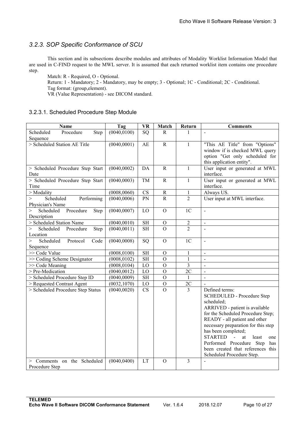# <span id="page-9-1"></span><span id="page-9-0"></span>*3.2.3. SOP Specific Conformance of SCU*

This section and its subsections describe modules and attributes of Modality Worklist Information Model that are used in C-FIND request to the MWL server. It is assumed that each returned worklist item contains one procedure step.

Match: R - Required, O - Optional.

Return: 1 - Mandatory; 2 - Mandatory, may be empty; 3 - Optional; 1C - Conditional; 2C - Conditional. Tag format: (group,element).

VR (Value Representation) - see DICOM standard.

#### 3.2.3.1. Scheduled Procedure Step Module

| Name                                                    | Tag          | <b>VR</b>              | Match          | Return         | <b>Comments</b>                                                                                                                                                                                                                                                                                                                                                                                  |
|---------------------------------------------------------|--------------|------------------------|----------------|----------------|--------------------------------------------------------------------------------------------------------------------------------------------------------------------------------------------------------------------------------------------------------------------------------------------------------------------------------------------------------------------------------------------------|
| Scheduled<br>Procedure<br>Step<br>Sequence              | (0040, 0100) | SQ                     | $\mathbf R$    | $\mathbf{1}$   | $\overline{\phantom{a}}$                                                                                                                                                                                                                                                                                                                                                                         |
| > Scheduled Station AE Title                            | (0040,0001)  | AE                     | ${\bf R}$      | $\mathbf{1}$   | "This AE Title" from "Options"<br>window if is checked MWL query<br>option "Get only scheduled for<br>this application entity".                                                                                                                                                                                                                                                                  |
| > Scheduled Procedure Step Start<br>Date                | (0040, 0002) | DA                     | $\mathbf R$    | $\mathbf{1}$   | User input or generated at MWL<br>interface.                                                                                                                                                                                                                                                                                                                                                     |
| > Scheduled Procedure Step Start<br>Time                | (0040, 0003) | TM                     | $\mathbf R$    | $\mathbf{1}$   | User input or generated at MWL<br>interface.                                                                                                                                                                                                                                                                                                                                                     |
| > Modality                                              | (0008, 0060) | $\mathbf{C}\mathbf{S}$ | ${\bf R}$      | $\mathbf{1}$   | Always US.                                                                                                                                                                                                                                                                                                                                                                                       |
| Scheduled<br>Performing<br>$\geq$<br>Physician's Name   | (0040, 0006) | PN                     | ${\bf R}$      | $\overline{2}$ | User input at MWL interface.                                                                                                                                                                                                                                                                                                                                                                     |
| $\geq$<br>Scheduled<br>Procedure<br>Step<br>Description | (0040, 0007) | LO                     | $\overline{O}$ | 1 <sub>C</sub> | $\overline{\phantom{a}}$                                                                                                                                                                                                                                                                                                                                                                         |
| > Scheduled Station Name                                | (0040, 0010) | $\operatorname{SH}$    | $\mathbf O$    | $\overline{2}$ | $\blacksquare$                                                                                                                                                                                                                                                                                                                                                                                   |
| $\geq$<br>Scheduled<br>Procedure<br>Step<br>Location    | (0040, 0011) | <b>SH</b>              | $\overline{O}$ | $\overline{2}$ | $\overline{a}$                                                                                                                                                                                                                                                                                                                                                                                   |
| Scheduled<br>$\geq$<br>Protocol<br>Code<br>Sequence     | (0040, 0008) | SQ                     | $\mathcal{O}$  | 1 <sub>C</sub> | $\blacksquare$                                                                                                                                                                                                                                                                                                                                                                                   |
| >> Code Value                                           | (0008, 0100) | <b>SH</b>              | $\mathcal{O}$  | $\mathbf{1}$   | $\mathbf{r}$                                                                                                                                                                                                                                                                                                                                                                                     |
| >> Coding Scheme Designator                             | (0008, 0102) | <b>SH</b>              | $\mathbf{O}$   | $\mathbf{1}$   | $\blacksquare$                                                                                                                                                                                                                                                                                                                                                                                   |
| >> Code Meaning                                         | (0008, 0104) | LO                     | $\mathbf O$    | $\overline{3}$ | $\blacksquare$                                                                                                                                                                                                                                                                                                                                                                                   |
| > Pre-Medication                                        | (0040, 0012) | LO                     | $\overline{O}$ | 2C             | $\mathbf{r}$                                                                                                                                                                                                                                                                                                                                                                                     |
| > Scheduled Procedure Step ID                           | (0040, 0009) | SH                     | $\overline{O}$ | $\mathbf{1}$   | $\omega$                                                                                                                                                                                                                                                                                                                                                                                         |
| > Requested Contrast Agent                              | (0032, 1070) | LO                     | $\overline{O}$ | 2C             |                                                                                                                                                                                                                                                                                                                                                                                                  |
| > Scheduled Procedure Step Status                       | (0040, 0020) | $\overline{\text{CS}}$ | $\Omega$       | $\overline{3}$ | Defined terms:<br>SCHEDULED - Procedure Step<br>scheduled;<br>ARRIVED - patient is available<br>for the Scheduled Procedure Step;<br>READY - all patient and other<br>necessary preparation for this step<br>has been completed;<br><b>STARTED</b><br>$\sim 10^{-10}$<br>at<br>least<br>one<br>Performed Procedure Step<br>has<br>been created that references this<br>Scheduled Procedure Step. |
| > Comments on the Scheduled<br>Procedure Step           | (0040, 0400) | <b>LT</b>              | $\overline{O}$ | $\overline{3}$ |                                                                                                                                                                                                                                                                                                                                                                                                  |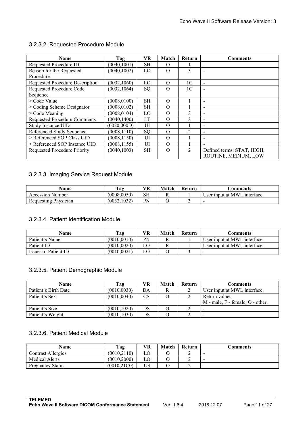## <span id="page-10-0"></span>3.2.3.2. Requested Procedure Module

| Name                                | Tag          | VR        | Match    | Return         | <b>Comments</b>            |
|-------------------------------------|--------------|-----------|----------|----------------|----------------------------|
| Requested Procedure ID              | (0040, 1001) | <b>SH</b> | $\Omega$ |                | $\overline{\phantom{0}}$   |
| Reason for the Requested            | (0040, 1002) | LO        | $\Omega$ | 3              | -                          |
| Procedure                           |              |           |          |                |                            |
| Requested Procedure Description     | (0032, 1060) | LO        | $\Omega$ | 1 <sup>C</sup> | $\overline{\phantom{a}}$   |
| Requested Procedure Code            | (0032, 1064) | SQ        | $\Omega$ | 1 <sup>C</sup> |                            |
| Sequence                            |              |           |          |                |                            |
| > Code Value                        | (0008.0100)  | <b>SH</b> | $\Omega$ |                |                            |
| $>$ Coding Scheme Designator        | (0008.0102)  | <b>SH</b> | $\Omega$ |                | $\overline{\phantom{a}}$   |
| $>$ Code Meaning                    | (0008, 0104) | LO        | $\Omega$ | 3              | $\overline{\phantom{a}}$   |
| <b>Requested Procedure Comments</b> | (0040, 1400) | LT        | $\Omega$ |                | $\overline{\phantom{a}}$   |
| Study Instance UID                  | (0020,000D)  | UI        | $\Omega$ |                | $\overline{\phantom{a}}$   |
| Referenced Study Sequence           | (0008.1110)  | SQ        | $\Omega$ | $\mathcal{D}$  | $\overline{\phantom{0}}$   |
| > Referenced SOP Class UID          | (0008, 1150) | UI        | $\Omega$ |                | $\overline{\phantom{a}}$   |
| > Referenced SOP Instance UID       | (0008, 1155) | UI        | $\Omega$ |                | $\overline{\phantom{0}}$   |
| <b>Requested Procedure Priority</b> | (0040, 1003) | <b>SH</b> | $\Omega$ | $\mathfrak{D}$ | Defined terms: STAT, HIGH, |
|                                     |              |           |          |                | ROUTINE, MEDIUM, LOW       |

#### 3.2.3.3. Imaging Service Request Module

| Name                 | Tag          | VR | Match | Return | :omments                        |
|----------------------|--------------|----|-------|--------|---------------------------------|
| Accession Number     | (0008, 0050) | SΗ | ┸┺    |        | interface.<br>User input at MWL |
| Requesting Physician | (0032, 1032) | PN |       |        | $\overline{\phantom{a}}$        |

#### 3.2.3.4. Patient Identification Module

| Name                 | Tag          | VR. | Match | <b>Return</b> | Comments                     |
|----------------------|--------------|-----|-------|---------------|------------------------------|
| Patient's Name       | (0010, 0010) | PN  |       |               | User input at MWL interface. |
| Patient ID           | (0010, 0020) |     |       |               | User input at MWL interface. |
| Issuer of Patient ID | (0010.0021)  |     |       |               | -                            |

#### 3.2.3.5. Patient Demographic Module

| Name                 | Tag          | VR                     | <b>Match</b> | Return | Comments                               |
|----------------------|--------------|------------------------|--------------|--------|----------------------------------------|
| Patient's Birth Date | (0010, 0030) | DA                     |              |        | User input at MWL interface.           |
| Patient's Sex        | (0010, 0040) | $\mathbf{C}\mathbf{S}$ |              |        | Return values:                         |
|                      |              |                        |              |        | $M$ - male, $F$ - female, $O$ - other. |
| Patient's Size       | (0010.1020)  | DS                     |              |        |                                        |
| Patient's Weight     | (0010.1030)  | DS                     |              |        | $\sim$                                 |

#### 3.2.3.6. Patient Medical Module

| Name                    | Tag          | VR | Match | Return | Comments |
|-------------------------|--------------|----|-------|--------|----------|
| Contrast Allergies      | (0010.2110)  |    |       |        |          |
| Medical Alerts          | (0010, 2000) |    |       |        |          |
| <b>Pregnancy Status</b> | (0010.21C0)  | US |       | ∼      | ٠        |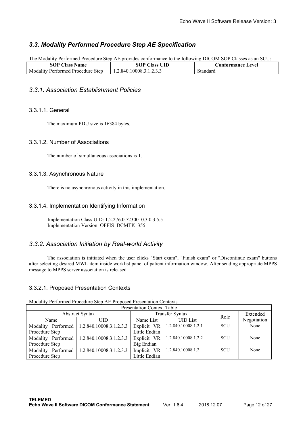# <span id="page-11-2"></span><span id="page-11-1"></span><span id="page-11-0"></span>*3.3. Modality Performed Procedure Step AE Specification*

The Modality Performed Procedure Step AE provides conformance to the following DICOM SOP Classes as an SCU:

| Name<br>Tass<br>эU                                     | UID<br>lass              | ∍evel.<br>Itormance<br>0n. |
|--------------------------------------------------------|--------------------------|----------------------------|
| <b>Step</b><br>Moda<br>. Pertormec<br><b>Procedure</b> | .10008.3.1.2.3.3<br>.840 | Standard                   |

#### *3.3.1. Association Establishment Policies*

#### 3.3.1.1. General

The maximum PDU size is 16384 bytes.

#### 3.3.1.2. Number of Associations

The number of simultaneous associations is 1.

#### 3.3.1.3. Asynchronous Nature

There is no asynchronous activity in this implementation.

#### 3.3.1.4. Implementation Identifying Information

Implementation Class UID: 1.2.276.0.7230010.3.0.3.5.5 Implementation Version: OFFIS\_DCMTK\_355

#### *3.3.2. Association Initiation by Real-world Activity*

The association is initiated when the user clicks "Start exam", "Finish exam" or "Discontinue exam" buttons after selecting desired MWL item inside worklist panel of patient information window. After sending appropriate MPPS message to MPPS server association is released.

#### 3.3.2.1. Proposed Presentation Contexts

| <b>Presentation Context Table</b> |                         |  |               |                        |            |             |  |
|-----------------------------------|-------------------------|--|---------------|------------------------|------------|-------------|--|
|                                   | <b>Abstract Syntax</b>  |  |               | <b>Transfer Syntax</b> | Role       | Extended    |  |
| Name                              | UID                     |  | Name List     | <b>UID</b> List        |            | Negotiation |  |
| Modality Performed                | 1.2.840.10008.3.1.2.3.3 |  | Explicit VR   | 1.2.840.10008.1.2.1    | SCU        | None        |  |
| Procedure Step                    |                         |  | Little Endian |                        |            |             |  |
| Modality Performed                | 1.2.840.10008.3.1.2.3.3 |  | Explicit VR   | 1.2.840.10008.1.2.2    | <b>SCU</b> | None        |  |
| Procedure Step                    |                         |  | Big Endian    |                        |            |             |  |
| Modality Performed                | 1.2.840.10008.3.1.2.3.3 |  | Implicit VR   | 1.2.840.10008.1.2      | <b>SCU</b> | None        |  |
| Procedure Step                    |                         |  | Little Endian |                        |            |             |  |

Modality Performed Procedure Step AE Proposed Presentation Contexts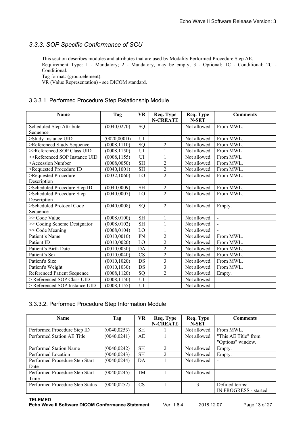# <span id="page-12-1"></span><span id="page-12-0"></span>*3.3.3. SOP Specific Conformance of SCU*

This section describes modules and attributes that are used by Modality Performed Procedure Step AE. Requirement Type: 1 - Mandatory; 2 - Mandatory, may be empty; 3 - Optional; 1C - Conditional; 2C - Conditional.

Tag format: (group,element).

VR (Value Representation) - see DICOM standard.

#### 3.3.3.1. Performed Procedure Step Relationship Module

| <b>Name</b>                   | Tag          | <b>VR</b> | Req. Type<br><b>N-CREATE</b> | Req. Type<br><b>N-SET</b> | <b>Comments</b> |
|-------------------------------|--------------|-----------|------------------------------|---------------------------|-----------------|
| Scheduled Step Attribute      | (0040, 0270) | SQ        |                              | Not allowed               | From MWL.       |
| Sequence                      |              |           |                              |                           |                 |
| >Study Instance UID           | (0020,000D)  | UI        |                              | Not allowed               | From MWL.       |
| >Referenced Study Sequence    | (0008, 1110) | SQ        | $\overline{2}$               | Not allowed               | From MWL.       |
| >>Referenced SOP Class UID    | (0008, 1150) | UI        |                              | Not allowed               | From MWL        |
| >>Referenced SOP Instance UID | (0008, 1155) | UI        |                              | Not allowed               | From MWL        |
| >Accession Number             | (0008, 0050) | <b>SH</b> | $\overline{2}$               | Not allowed               | From MWL.       |
| >Requested Procedure ID       | (0040, 1001) | <b>SH</b> | $\overline{2}$               | Not allowed               | From MWL.       |
| >Requested Procedure          | (0032, 1060) | LO        | $\overline{2}$               | Not allowed               | From MWL.       |
| Description                   |              |           |                              |                           |                 |
| >Scheduled Procedure Step ID  | (0040, 0009) | <b>SH</b> | $\overline{2}$               | Not allowed               | From MWL.       |
| >Scheduled Procedure Step     | (0040, 0007) | LO        | $\overline{2}$               | Not allowed               | From MWL.       |
| Description                   |              |           |                              |                           |                 |
| >Scheduled Protocol Code      | (0040,0008)  | SQ        | 2                            | Not allowed               | Empty.          |
| Sequence                      |              |           |                              |                           |                 |
| >> Code Value                 | (0008, 0100) | <b>SH</b> |                              | Not allowed               | $\mathbf{r}$    |
| >> Coding Scheme Designator   | (0008, 0102) | <b>SH</b> |                              | Not allowed               | $\mathbb{Z}^2$  |
| >> Code Meaning               | (0008, 0104) | LO        |                              | Not allowed               |                 |
| Patient's Name                | (0010, 0010) | PN        | $\overline{2}$               | Not allowed               | From MWL.       |
| Patient ID                    | (0010, 0020) | LO        | $\overline{2}$               | Not allowed               | From MWL.       |
| Patient's Birth Date          | (0010, 0030) | DA        | $\overline{2}$               | Not allowed               | From MWL.       |
| Patient's Sex                 | (0010, 0040) | <b>CS</b> | $\overline{2}$               | Not allowed               | From MWL.       |
| Patient's Size                | (0010, 1020) | DS        | $\overline{3}$               | Not allowed               | From MWL.       |
| Patient's Weight              | (0010, 1030) | DS        | 3                            | Not allowed               | From MWL.       |
| Referenced Patient Sequence   | (0008, 1120) | SQ        | $\overline{c}$               | Not allowed               | Empty.          |
| > Referenced SOP Class UID    | (0008, 1150) | UI        |                              | Not allowed               |                 |
| > Referenced SOP Instance UID | (0008, 1155) | UI        |                              | Not allowed               | $\blacksquare$  |

#### 3.3.3.2. Performed Procedure Step Information Module

| <b>Name</b>                            | Tag          | <b>VR</b> | Req. Type<br><b>N-CREATE</b> | Req. Type<br><b>N-SET</b> | Comments                                  |
|----------------------------------------|--------------|-----------|------------------------------|---------------------------|-------------------------------------------|
| Performed Procedure Step ID            | (0040, 0253) | <b>SH</b> |                              | Not allowed               | From MWL.                                 |
| Performed Station AE Title             | (0040, 0241) | AE        |                              | Not allowed               | "This AE Title" from<br>"Options" window. |
| Performed Station Name                 | (0040, 0242) | <b>SH</b> |                              | Not allowed               | Empty.                                    |
| Performed Location                     | (0040, 0243) | <b>SH</b> |                              | Not allowed               | Empty.                                    |
| Performed Procedure Step Start<br>Date | (0040, 0244) | DA        |                              | Not allowed               |                                           |
| Performed Procedure Step Start<br>Time | (0040, 0245) | TM        |                              | Not allowed               |                                           |
| Performed Procedure Step Status        | (0040, 0252) | CS        |                              |                           | Defined terms:<br>IN PROGRESS - started   |

**TELEMED**

**Echo Wave II Software DICOM Conformance Statement** Ver. 1.6.4 2018.12.07 Page 13 of 27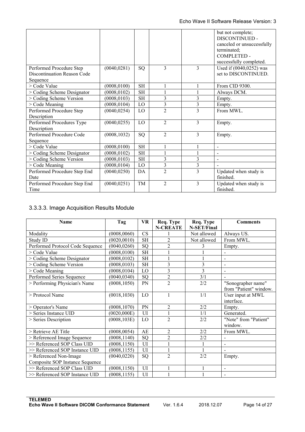<span id="page-13-0"></span>

|                              |              |                     |                |                | but not complete;<br>DISCONTINUED -<br>canceled or unsuccessfully<br>terminated;<br><b>COMPLETED -</b><br>successfully completed. |
|------------------------------|--------------|---------------------|----------------|----------------|-----------------------------------------------------------------------------------------------------------------------------------|
| Performed Procedure Step     | (0040, 0281) | SQ                  | $\mathcal{E}$  | $\mathcal{E}$  | Used if (0040,0252) was                                                                                                           |
| Discontinuation Reason Code  |              |                     |                |                | set to DISCONTINUED.                                                                                                              |
| Sequence                     |              |                     |                |                |                                                                                                                                   |
| > Code Value                 | (0008, 0100) | <b>SH</b>           |                |                | From CID 9300.                                                                                                                    |
| > Coding Scheme Designator   | (0008, 0102) | <b>SH</b>           |                |                | Always DCM.                                                                                                                       |
| > Coding Scheme Version      | (0008, 0103) | $\operatorname{SH}$ | 3              | 3              | Empty.                                                                                                                            |
| > Code Meaning               | (0008, 0104) | LO                  | 3              | 3              | Empty.                                                                                                                            |
| Performed Procedure Step     | (0040, 0254) | LO                  | $\overline{2}$ | $\mathcal{E}$  | From MWL.                                                                                                                         |
| Description                  |              |                     |                |                |                                                                                                                                   |
| Performed Procedures Type    | (0040, 0255) | LO                  | $\overline{2}$ | 3              | Empty.                                                                                                                            |
| Description                  |              |                     |                |                |                                                                                                                                   |
| Performed Procedure Code     | (0008, 1032) | SQ                  | 2              | $\overline{3}$ | Empty.                                                                                                                            |
| Sequence                     |              |                     |                |                |                                                                                                                                   |
| > Code Value                 | (0008, 0100) | <b>SH</b>           |                |                |                                                                                                                                   |
| $>$ Coding Scheme Designator | (0008, 0102) | <b>SH</b>           |                |                |                                                                                                                                   |
| > Coding Scheme Version      | (0008, 0103) | <b>SH</b>           | 3              | 3              | $\overline{\phantom{a}}$                                                                                                          |
| $>$ Code Meaning             | (0008, 0104) | LO                  | 3              | 3              |                                                                                                                                   |
| Performed Procedure Step End | (0040, 0250) | DA                  | $\overline{2}$ | $\overline{3}$ | Updated when study is                                                                                                             |
| Date                         |              |                     |                |                | finished.                                                                                                                         |
| Performed Procedure Step End | (0040, 0251) | TM                  | $\mathfrak{D}$ | 3              | Updated when study is                                                                                                             |
| Time                         |              |                     |                |                | finished.                                                                                                                         |

## 3.3.3.3. Image Acquisition Results Module

| <b>Name</b>                      | Tag          | <b>VR</b> | Req. Type<br><b>N-CREATE</b> | Req. Type<br>N-SET/Final | <b>Comments</b>                              |
|----------------------------------|--------------|-----------|------------------------------|--------------------------|----------------------------------------------|
| Modality                         | (0008, 0060) | CS        |                              | Not allowed              | Always US.                                   |
| Study ID                         | (0020, 0010) | SH        | $\overline{2}$               | Not allowed              | From MWL.                                    |
| Performed Protocol Code Sequence | (0040, 0260) | SQ        | $\overline{2}$               | 3                        | Empty.                                       |
| > Code Value                     | (0008, 0100) | <b>SH</b> |                              |                          |                                              |
| $>$ Coding Scheme Designator     | (0008, 0102) | <b>SH</b> |                              |                          | $\blacksquare$                               |
| > Coding Scheme Version          | (0008, 0103) | <b>SH</b> | 3                            | 3                        |                                              |
| > Code Meaning                   | (0008, 0104) | $\rm LO$  | 3                            | 3                        |                                              |
| Performed Series Sequence        | (0040, 0340) | SQ        | $\overline{2}$               | 3/1                      |                                              |
| > Performing Physician's Name    | (0008, 1050) | PN        | $\overline{2}$               | 2/2                      | "Sonographer name"<br>from "Patient" window. |
| > Protocol Name                  | (0018, 1030) | LO        |                              | 1/1                      | User input at MWL<br>interface.              |
| > Operator's Name                | (0008, 1070) | PN        | $\overline{2}$               | 2/2                      | Empty.                                       |
| > Series Instance UID            | (0020,000E)  | UI        |                              | 1/1                      | Generated.                                   |
| > Series Description             | (0008, 103E) | LO        | $\overline{2}$               | 2/2                      | "Note" from "Patient"<br>window.             |
| > Retrieve AE Title              | (0008, 0054) | AE        | 2                            | 2/2                      | From MWL.                                    |
| > Referenced Image Sequence      | (0008, 1140) | SQ        | $\overline{2}$               | 2/2                      |                                              |
| >> Referenced SOP Class UID      | (0008, 1150) | UI        |                              |                          |                                              |
| >> Referenced SOP Instance UID   | (0008, 1155) | UI        |                              |                          |                                              |
| > Referenced Non-Image           | (0040, 0220) | SQ        | $\overline{2}$               | 2/2                      | Empty.                                       |
| Composite SOP Instance Sequence  |              |           |                              |                          |                                              |
| >> Referenced SOP Class UID      | (0008, 1150) | UI        |                              |                          | $\overline{\phantom{0}}$                     |
| >> Referenced SOP Instance UID   | (0008, 1155) | UI        |                              |                          |                                              |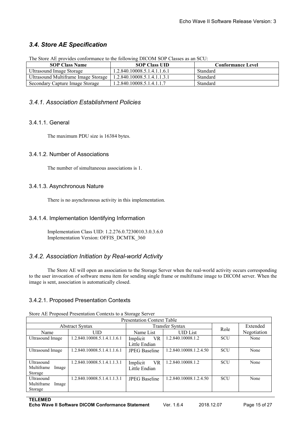# <span id="page-14-2"></span><span id="page-14-1"></span><span id="page-14-0"></span>*3.4. Store AE Specification*

| The Store AE provides conformance to the following DICOM SOP Classes as an SCO: |                             |                          |  |  |  |  |  |
|---------------------------------------------------------------------------------|-----------------------------|--------------------------|--|--|--|--|--|
| <b>SOP Class Name</b>                                                           | <b>SOP Class UID</b>        | <b>Conformance Level</b> |  |  |  |  |  |
| Ultrasound Image Storage                                                        | 1.2.840.10008.5.1.4.1.1.6.1 | Standard                 |  |  |  |  |  |
| Ultrasound Multiframe Image Storage                                             | 1.2.840.10008.5.1.4.1.1.3.1 | Standard                 |  |  |  |  |  |
| Secondary Capture Image Storage                                                 | 1.2.840.10008.5.1.4.1.1.7   | Standard                 |  |  |  |  |  |

The Store AE provides conformance to the following DICOM SOP Classes as an SCU:

#### *3.4.1. Association Establishment Policies*

#### 3.4.1.1. General

The maximum PDU size is 16384 bytes.

#### 3.4.1.2. Number of Associations

The number of simultaneous associations is 1.

#### 3.4.1.3. Asynchronous Nature

There is no asynchronous activity in this implementation.

#### 3.4.1.4. Implementation Identifying Information

Implementation Class UID: 1.2.276.0.7230010.3.0.3.6.0 Implementation Version: OFFIS\_DCMTK\_360

# *3.4.2. Association Initiation by Real-world Activity*

The Store AE will open an association to the Storage Server when the real-world activity occurs corresponding to the user invocation of software menu item for sending single frame or multiframe image to DICOM server. When the image is sent, association is automatically closed.

#### 3.4.2.1. Proposed Presentation Contexts

| <b>Presentation Context Table</b> |                             |                       |                        |            |             |  |  |
|-----------------------------------|-----------------------------|-----------------------|------------------------|------------|-------------|--|--|
|                                   | <b>Abstract Syntax</b>      |                       | Transfer Syntax        | Role       | Extended    |  |  |
| Name                              | <b>UID</b>                  | Name List             | <b>UID</b> List        |            | Negotiation |  |  |
| Ultrasound Image                  | 1.2.840.10008.5.1.4.1.1.6.1 | <b>VR</b><br>Implicit | 1.2.840.10008.1.2      | <b>SCU</b> | None        |  |  |
|                                   |                             | Little Endian         |                        |            |             |  |  |
| Ultrasound Image                  | 1.2.840.10008.5.1.4.1.1.6.1 | <b>JPEG Baseline</b>  | 1.2.840.10008.1.2.4.50 | <b>SCU</b> | None        |  |  |
|                                   |                             |                       |                        |            |             |  |  |
| Ultrasound                        | 1.2.840.10008.5.1.4.1.1.3.1 | Implicit<br><b>VR</b> | .2.840.10008.1.2       | <b>SCU</b> | None        |  |  |
| Multiframe<br>Image               |                             | Little Endian         |                        |            |             |  |  |
| Storage                           |                             |                       |                        |            |             |  |  |
| Ultrasound                        | 1.2.840.10008.5.1.4.1.1.3.1 | <b>JPEG</b> Baseline  | 1.2.840.10008.1.2.4.50 | <b>SCU</b> | None        |  |  |
| Multiframe<br>Image               |                             |                       |                        |            |             |  |  |
| Storage                           |                             |                       |                        |            |             |  |  |

Store AE Proposed Presentation Contexts to a Storage Server

**TELEMED**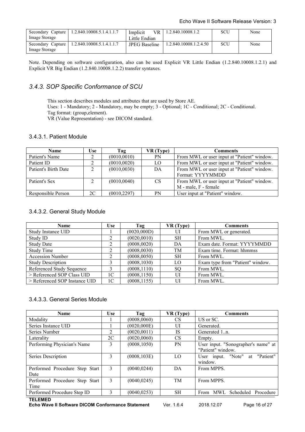<span id="page-15-1"></span><span id="page-15-0"></span>

| Secondary Capture | 1.2.840.10008.5.1.4.1.1.7 | Implicit<br>VR.      | 1.2.840.10008.1.2      | SCU | None |
|-------------------|---------------------------|----------------------|------------------------|-----|------|
| Image Storage     |                           | Little Endian        |                        |     |      |
| Secondary Capture | 1.2.840.10008.5.1.4.1.1.7 | <b>JPEG</b> Baseline | 1.2.840.10008.1.2.4.50 | SCU | None |
| Image Storage     |                           |                      |                        |     |      |

Note. Depending on software configuration, also can be used Explicit VR Little Endian (1.2.840.10008.1.2.1) and Explicit VR Big Endian (1.2.840.10008.1.2.2) transfer syntaxes.

## *3.4.3. SOP Specific Conformance of SCU*

This section describes modules and attributes that are used by Store AE. Uses: 1 - Mandatory; 2 - Mandatory, may be empty;3 - Optional; 1C - Conditional; 2C - Conditional. Tag format: (group,element).

VR (Value Representation) - see DICOM standard.

#### 3.4.3.1. Patient Module

| Name                 | Use           | Tag          | VR (Type) | Comments                                    |
|----------------------|---------------|--------------|-----------|---------------------------------------------|
| Patient's Name       | ◠             | (0010, 0010) | PN        | From MWL or user input at "Patient" window. |
| Patient ID           |               | (0010, 0020) | LO        | From MWL or user input at "Patient" window. |
| Patient's Birth Date | $\mathcal{L}$ | (0010, 0030) | DA        | From MWL or user input at "Patient" window. |
|                      |               |              |           | Format: YYYYMMDD                            |
| Patient's Sex        | $\gamma$      | (0010, 0040) | <b>CS</b> | From MWL or user input at "Patient" window. |
|                      |               |              |           | M - male, F - female                        |
| Responsible Person   | 2C            | (0010, 2297) | PN        | User input at "Patient" window.             |

#### 3.4.3.2. General Study Module

| <b>Name</b>                   | Use            | Tag          | VR (Type) | <b>Comments</b>                  |
|-------------------------------|----------------|--------------|-----------|----------------------------------|
| Study Instance UID            |                | (0020,000D)  | UI        | From MWL or generated.           |
| Study ID                      |                | (0020, 0010) | <b>SH</b> | From MWL.                        |
| <b>Study Date</b>             |                | (0008, 0020) | DA        | Exam date. Format: YYYYMMDD      |
| Study Time                    |                | (0008, 0030) | TM        | Exam time. Format: hhmmss        |
| <b>Accession Number</b>       |                | (0008, 0050) | <b>SH</b> | From MWL.                        |
| <b>Study Description</b>      |                | (0008, 1030) | LO.       | Exam type from "Patient" window. |
| Referenced Study Sequence     |                | (0008, 1110) | SQ.       | From MWL.                        |
| > Referenced SOP Class UID    | 1C             | (0008, 1150) | UI        | From MWL.                        |
| > Referenced SOP Instance UID | 1 <sup>C</sup> | (0008, 1155) | UI        | From MWL.                        |

#### 3.4.3.3. General Series Module

| Name                           | <b>Use</b>    | Tag          | VR (Type) | Comments                            |
|--------------------------------|---------------|--------------|-----------|-------------------------------------|
| Modality                       |               | (0008, 0060) | CS.       | US or SC.                           |
| Series Instance UID            |               | (0020,000E)  | UI        | Generated.                          |
| Series Number                  | 2             | (0020, 0011) | <b>IS</b> | Generated 1n.                       |
| Laterality                     | 2C            | (0020, 0060) | CS        | Empty.                              |
| Performing Physician's Name    | 3             | (0008, 1050) | <b>PN</b> | User input. "Sonographer's name" at |
|                                |               |              |           | "Patient" window.                   |
| Series Description             | 3             | (0008, 103E) | LO        | User input. "Note" at "Patient"     |
|                                |               |              |           | window.                             |
| Performed Procedure Step Start | 3             | (0040, 0244) | DA        | From MPPS.                          |
| Date                           |               |              |           |                                     |
| Performed Procedure Step Start | $\mathcal{E}$ | (0040, 0245) | TM        | From MPPS.                          |
| Time                           |               |              |           |                                     |
| Performed Procedure Step ID    | $\mathbf{3}$  | (0040, 0253) | <b>SH</b> | Scheduled Procedure<br>From MWL     |
| <b>TELEMED</b>                 |               |              |           |                                     |

**Echo Wave II Software DICOM Conformance Statement** Ver. 1.6.4 2018.12.07 Page 16 of 27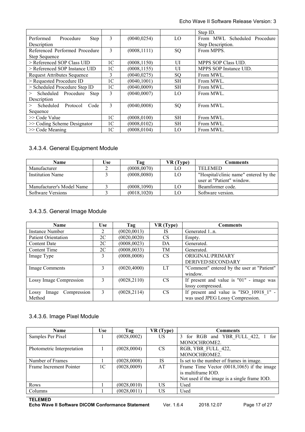<span id="page-16-0"></span>

|                                       |                |              |           | Step ID.                     |
|---------------------------------------|----------------|--------------|-----------|------------------------------|
| Performed<br>Procedure<br><b>Step</b> | 3              | (0040, 0254) | LO        | From MWL Scheduled Procedure |
| Description                           |                |              |           | Step Description.            |
| Referenced Performed Procedure        | 3              | (0008, 1111) | SQ        | From MPPS.                   |
| Step Sequence                         |                |              |           |                              |
| > Referenced SOP Class UID            | 1 <sup>C</sup> | (0008, 1150) | UI        | MPPS SOP Class UID.          |
| > Referenced SOP Instance UID         | 1 <sup>C</sup> | (0008, 1155) | UI        | MPPS SOP Instance UID.       |
| <b>Request Attributes Sequence</b>    | 3              | (0040, 0275) | SO.       | From MWL.                    |
| > Requested Procedure ID              | 1 <sup>C</sup> | (0040, 1001) | <b>SH</b> | From MWL.                    |
| > Scheduled Procedure Step ID         | 1 <sup>C</sup> | (0040,0009)  | <b>SH</b> | From MWL.                    |
| Scheduled Procedure<br>Step<br>>      | 3              | (0040,0007)  | LO        | From MWL.                    |
| Description                           |                |              |           |                              |
| Scheduled Protocol<br>Code<br>>       | 3              | (0040,0008)  | SQ        | From MWL.                    |
| Sequence                              |                |              |           |                              |
| $\gg$ Code Value                      | 1 <sup>C</sup> | (0008.0100)  | <b>SH</b> | From MWL.                    |
| $\gg$ Coding Scheme Designator        | 1 <sup>C</sup> | (0008, 0102) | <b>SH</b> | From MWL.                    |
| $>>$ Code Meaning                     | 1 <sup>C</sup> | (0008.0104)  | LO        | From MWL.                    |

#### 3.4.3.4. General Equipment Module

| Name                      | Use | Tag          | VR (Type) | Comments                              |
|---------------------------|-----|--------------|-----------|---------------------------------------|
| Manufacturer              |     | (0008,0070)  | LΟ        | <b>TELEMED</b>                        |
| <b>Institution Name</b>   |     | (0008,0080)  | LO        | "Hospital/clinic name" entered by the |
|                           |     |              |           | user at "Patient" window.             |
| Manufacturer's Model Name |     | (0008, 1090) | LO        | Beamformer code.                      |
| Software Versions         |     | (0018, 1020) | LΟ        | Software version.                     |

## 3.4.3.5. General Image Module

| <b>Name</b>                | <b>Use</b> | Tag          | VR (Type) | <b>Comments</b>                            |
|----------------------------|------------|--------------|-----------|--------------------------------------------|
| Instance Number            |            | (0020, 0013) | <b>IS</b> | Generated 1n.                              |
| Patient Orientation        | 2C         | (0020, 0020) | <b>CS</b> | Empty.                                     |
| <b>Content Date</b>        | 2C         | (0008, 0023) | DA        | Generated.                                 |
| Content Time               | 2C         | (0008, 0033) | TM        | Generated.                                 |
| Image Type                 | 3          | (0008,0008)  | <b>CS</b> | <b>ORIGINAL\PRIMARY</b>                    |
|                            |            |              |           | <b>DERIVED\SECONDARY</b>                   |
| Image Comments             | 3          | (0020, 4000) | LT        | "Comment" entered by the user at "Patient" |
|                            |            |              |           | window.                                    |
| Lossy Image Compression    | 3          | (0028, 2110) | <b>CS</b> | If present and value is $"01"$ - image was |
|                            |            |              |           | lossy compressed.                          |
| Image Compression<br>Lossy | 3          | (0028, 2114) | <b>CS</b> | If present and value is "ISO 10918 1" -    |
| Method                     |            |              |           | was used JPEG Lossy Compression.           |

#### 3.4.3.6. Image Pixel Module

| Name                       | Use            | Tag          | VR (Type) | Comments                                      |
|----------------------------|----------------|--------------|-----------|-----------------------------------------------|
| Samples Per Pixel          |                | (0028,0002)  | US.       | 3 for RGB and YBR FULL 422, 1 for             |
|                            |                |              |           | MONOCHROME2.                                  |
| Photometric Interpretation |                | (0028,0004)  | <b>CS</b> | RGB, YBR FULL 422,                            |
|                            |                |              |           | MONOCHROME2.                                  |
| Number of Frames           |                | (0028,0008)  | IS        | Is set to the number of frames in image.      |
| Frame Increment Pointer    | 1 <sup>C</sup> | (0028,0009)  | AT        | Frame Time Vector $(0018, 1065)$ if the image |
|                            |                |              |           | is multiframe IOD.                            |
|                            |                |              |           | Not used if the image is a single frame IOD.  |
| Rows                       |                | (0028, 0010) | US        | Used                                          |
| Columns                    |                | (0028, 0011) | <b>US</b> | Used                                          |

#### **TELEMED**

**Echo Wave II Software DICOM Conformance Statement** Ver. 1.6.4 2018.12.07 Page 17 of 27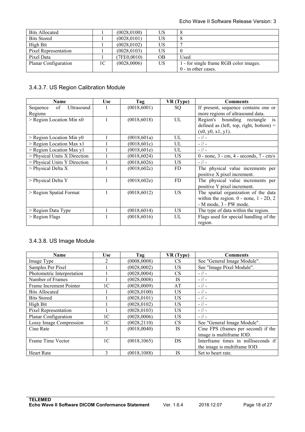<span id="page-17-0"></span>

| <b>Bits Allocated</b> |    | (0028, 0100) | US  |                                        |
|-----------------------|----|--------------|-----|----------------------------------------|
| <b>Bits Stored</b>    |    | (0028, 0101) | US  |                                        |
| High Bit              |    | (0028, 0102) | US  |                                        |
| Pixel Representation  |    | (0028, 0103) | US  |                                        |
| Pixel Data            |    | (7FE0,0010)  | OB. | Used                                   |
| Planar Configuration  | 1C | (0028,0006)  | US  | 1 - for single frame RGB color images. |
|                       |    |              |     | $0$ - in other cases.                  |

# 3.4.3.7. US Region Calibration Module

| <b>Name</b>                  | <b>Use</b> | Tag          | VR (Type) | <b>Comments</b>                                 |
|------------------------------|------------|--------------|-----------|-------------------------------------------------|
| Ultrasound<br>of<br>Sequence |            | (0018, 6001) | SQ        | If present, sequence contains one or            |
| Regions                      |            |              |           | more regions of ultrasound data.                |
| $>$ Region Location Min $x0$ |            | (0018, 6018) | UL        | Region's bounding rectangle is                  |
|                              |            |              |           | defined as (left, top, right, bottom) $=$       |
|                              |            |              |           | (x0, y0, x1, y1).                               |
| $>$ Region Location Min y0   |            | (0018, 601a) | UL        | $-1/ -$                                         |
| > Region Location Max x1     |            | (0018, 601c) | UL        | $-$ // $-$                                      |
| > Region Location Max y1     |            | (0018, 601e) | UL        | $-1/ -$                                         |
| > Physical Units X Direction |            | (0018, 6024) | US.       | $0$ - none, $3$ - cm, $4$ - seconds, $7$ - cm/s |
| > Physical Units Y Direction |            | (0018, 6026) | US.       | $-1/ -$                                         |
| $>$ Physical Delta X         |            | (0018, 602c) | FD        | The physical value increments per               |
|                              |            |              |           | positive X pixel increment.                     |
| > Physical Delta Y           |            | (0018, 602e) | <b>FD</b> | The physical value increments per               |
|                              |            |              |           | positive Y pixel increment.                     |
| > Region Spatial Format      |            | (0018, 6012) | <b>US</b> | The spatial organization of the data            |
|                              |            |              |           | within the region. $0$ - none, $1 - 2D$ , $2$   |
|                              |            |              |           | - M mode, 3 - PW mode.                          |
| > Region Data Type           |            | (0018, 6014) | US.       | The type of data within the region.             |
| > Region Flags               |            | (0018, 6016) | UL        | Flags used for special handling of the          |
|                              |            |              |           | region.                                         |

# 3.4.3.8. US Image Module

| <b>Name</b>                | <b>Use</b>     | Tag          | VR (Type) | <b>Comments</b>                     |
|----------------------------|----------------|--------------|-----------|-------------------------------------|
| Image Type                 |                | (0008,0008)  | CS        | See "General Image Module".         |
| Samples Per Pixel          |                | (0028, 0002) | US.       | See "Image Pixel Module".           |
| Photometric Interpretation |                | (0028, 0004) | <b>CS</b> | $-$ // $-$                          |
| Number of Frames           |                | (0028,0008)  | <b>IS</b> | $-$ // $-$                          |
| Frame Increment Pointer    | 1 <sup>C</sup> | (0028,0009)  | AT        | $-$ // $-$                          |
| <b>Bits Allocated</b>      |                | (0028, 0100) | US.       | $-$ // $-$                          |
| <b>Bits Stored</b>         |                | (0028, 0101) | US.       | $-$ // $-$                          |
| High Bit                   |                | (0028, 0102) | US.       | $-$ // $-$                          |
| Pixel Representation       |                | (0028, 0103) | US.       | $-$ // $-$                          |
| Planar Configuration       | 1 <sup>C</sup> | (0028,0006)  | US.       | $-$ // $-$                          |
| Lossy Image Compression    | 1 <sup>C</sup> | (0028, 2110) | <b>CS</b> | See "General Image Module".         |
| Cine Rate                  | 3              | (0018, 0040) | <b>IS</b> | Cine FPS (frames per second) if the |
|                            |                |              |           | image is multiframe IOD.            |
| Frame Time Vector          | 1 <sup>C</sup> | (0018, 1065) | DS        | Interframe times in milliseconds if |
|                            |                |              |           | the image is multiframe IOD.        |
| Heart Rate                 | 3              | (0018, 1088) | IS        | Set to heart rate.                  |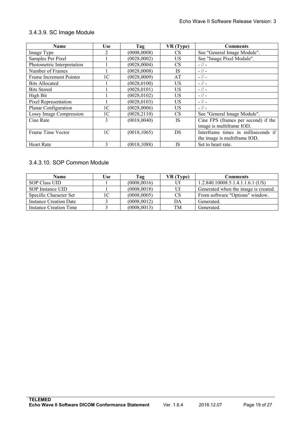## <span id="page-18-1"></span><span id="page-18-0"></span>3.4.3.9. SC Image Module

| <b>Name</b>                | Use            | Tag          | VR (Type) | <b>Comments</b>                     |
|----------------------------|----------------|--------------|-----------|-------------------------------------|
| Image Type                 |                | (0008,0008)  | <b>CS</b> | See "General Image Module".         |
| Samples Per Pixel          |                | (0028,0002)  | US.       | See "Image Pixel Module".           |
| Photometric Interpretation |                | (0028, 0004) | <b>CS</b> | $-$ // $-$                          |
| Number of Frames           |                | (0028,0008)  | <b>IS</b> | $-$ // $-$                          |
| Frame Increment Pointer    | 1 <sup>C</sup> | (0028,0009)  | AT        | $-$ // $-$                          |
| <b>Bits Allocated</b>      |                | (0028, 0100) | US.       | $-$ // $-$                          |
| <b>Bits Stored</b>         |                | (0028, 0101) | US.       | $-$ // $-$                          |
| High Bit                   |                | (0028, 0102) | US.       | $-11-$                              |
| Pixel Representation       |                | (0028, 0103) | US.       | $-$ // $-$                          |
| Planar Configuration       | 1 <sup>C</sup> | (0028, 0006) | US.       | $-11-$                              |
| Lossy Image Compression    | 1 <sup>C</sup> | (0028, 2110) | <b>CS</b> | See "General Image Module".         |
| Cine Rate                  | 3              | (0018, 0040) | <b>IS</b> | Cine FPS (frames per second) if the |
|                            |                |              |           | image is multiframe IOD.            |
| Frame Time Vector          | 1 <sup>C</sup> | (0018, 1065) | DS        | Interframe times in milliseconds if |
|                            |                |              |           | the image is multiframe IOD.        |
| <b>Heart Rate</b>          | 3              | (0018.1088)  | <b>IS</b> | Set to heart rate.                  |

# 3.4.3.10. SOP Common Module

| Name                          | Use | Tag          | VR (Type) | Comments                             |
|-------------------------------|-----|--------------|-----------|--------------------------------------|
| SOP Class UID                 |     | (0008, 0016) |           | $1.2.840.10008.5.1.4.1.1.6.1$ (US)   |
| SOP Instance UID              |     | (0008, 0018) |           | Generated when the image is created. |
| Specific Character Set        |     | (0008,0005)  | <b>CS</b> | From software "Options" window.      |
| <b>Instance Creation Date</b> |     | (0008, 0012) | DA        | Generated.                           |
| Instance Creation Time        |     | (0008, 0013) | TM        | Generated.                           |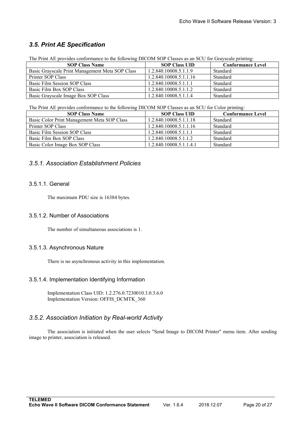# <span id="page-19-2"></span><span id="page-19-1"></span><span id="page-19-0"></span>*3.5. Print AE Specification*

The Print AE provides conformance to the following DICOM SOP Classes as an SCU for Grayscale printing:

| <b>SOP Class Name</b>                           | <b>SOP Class UID</b>   | <b>Conformance Level</b> |
|-------------------------------------------------|------------------------|--------------------------|
| Basic Grayscale Print Management Meta SOP Class | 1.2.840.10008.5.1.1.9  | Standard                 |
| Printer SOP Class                               | 1.2.840.10008.5.1.1.16 | Standard                 |
| Basic Film Session SOP Class                    | 1.2.840.10008.5.1.1.1  | Standard                 |
| Basic Film Box SOP Class                        | 1.2.840.10008.5.1.1.2  | Standard                 |
| Basic Grayscale Image Box SOP Class             | 1.2.840.10008.5.1.1.4  | Standard                 |

#### The Print AE provides conformance to the following DICOM SOP Classes as an SCU for Color printing:

| <b>SOP Class Name</b>                       | <b>SOP Class UID</b>    | <b>Conformance Level</b> |
|---------------------------------------------|-------------------------|--------------------------|
| Basic Color Print Management Meta SOP Class | 1.2.840.10008.5.1.1.18  | Standard                 |
| Printer SOP Class                           | 1.2.840.10008.5.1.1.16  | Standard                 |
| Basic Film Session SOP Class                | 1.2.840.10008.5.1.1.1   | Standard                 |
| Basic Film Box SOP Class                    | 1.2.840.10008.5.1.1.2   | Standard                 |
| Basic Color Image Box SOP Class             | 1.2.840.10008.5.1.1.4.1 | Standard                 |

#### *3.5.1. Association Establishment Policies*

#### 3.5.1.1. General

The maximum PDU size is 16384 bytes.

#### 3.5.1.2. Number of Associations

The number of simultaneous associations is 1.

#### 3.5.1.3. Asynchronous Nature

There is no asynchronous activity in this implementation.

#### 3.5.1.4. Implementation Identifying Information

Implementation Class UID: 1.2.276.0.7230010.3.0.3.6.0 Implementation Version: OFFIS\_DCMTK\_360

#### *3.5.2. Association Initiation by Real-world Activity*

The association is initiated when the user selects "Send Image to DICOM Printer" menu item. After sending image to printer, association is released.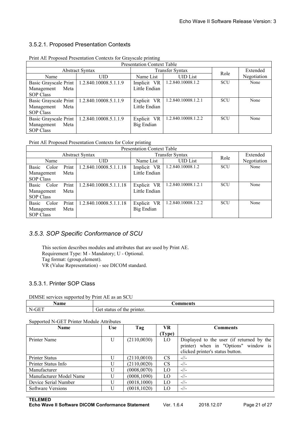#### <span id="page-20-1"></span><span id="page-20-0"></span>3.5.2.1. Proposed Presentation Contexts

| <b>Presentation Context Table</b> |                                               |               |                     |            |             |  |  |
|-----------------------------------|-----------------------------------------------|---------------|---------------------|------------|-------------|--|--|
|                                   | <b>Abstract Syntax</b>                        |               | Transfer Syntax     | Role       | Extended    |  |  |
| Name                              | UID                                           | Name List     | <b>UID</b> List     |            | Negotiation |  |  |
|                                   | Basic Grayscale Print   1.2.840.10008.5.1.1.9 | Implicit VR   | 1.2.840.10008.1.2   | <b>SCU</b> | None        |  |  |
| Management<br>Meta                |                                               | Little Endian |                     |            |             |  |  |
| SOP Class                         |                                               |               |                     |            |             |  |  |
|                                   | Basic Grayscale Print   1.2.840.10008.5.1.1.9 | Explicit VR   | 1.2.840.10008.1.2.1 | <b>SCU</b> | None        |  |  |
| Meta<br>Management                |                                               | Little Endian |                     |            |             |  |  |
| <b>SOP Class</b>                  |                                               |               |                     |            |             |  |  |
|                                   | Basic Grayscale Print   1.2.840.10008.5.1.1.9 | Explicit VR   | 1.2.840.10008.1.2.2 | <b>SCU</b> | None        |  |  |
| Meta<br>Management                |                                               | Big Endian    |                     |            |             |  |  |
| SOP Class                         |                                               |               |                     |            |             |  |  |

Print AE Proposed Presentation Contexts for Grayscale printing

Print AE Proposed Presentation Contexts for Color printing

| <b>Presentation Context Table</b> |       |       |                        |               |                     |            |             |
|-----------------------------------|-------|-------|------------------------|---------------|---------------------|------------|-------------|
|                                   |       |       | <b>Abstract Syntax</b> |               | Transfer Syntax     | Role       | Extended    |
|                                   | Name  |       | UID.                   | Name List     | <b>UID</b> List     |            | Negotiation |
| Basic                             | Color | Print | 1.2.840.10008.5.1.1.18 | Implicit VR   | 1.2.840.10008.1.2   | <b>SCU</b> | None        |
| Management                        |       | Meta  |                        | Little Endian |                     |            |             |
| SOP Class                         |       |       |                        |               |                     |            |             |
| Basic                             | Color | Print | 1.2.840.10008.5.1.1.18 | Explicit VR   | 1.2.840.10008.1.2.1 | <b>SCU</b> | None        |
| Management                        |       | Meta  |                        | Little Endian |                     |            |             |
| <b>SOP</b> Class                  |       |       |                        |               |                     |            |             |
| Basic                             | Color | Print | 1.2.840.10008.5.1.1.18 | Explicit VR   | 1.2.840.10008.1.2.2 | <b>SCU</b> | None        |
| Management                        |       | Meta  |                        | Big Endian    |                     |            |             |
| SOP Class                         |       |       |                        |               |                     |            |             |

# *3.5.3. SOP Specific Conformance of SCU*

This section describes modules and attributes that are used by Print AE. Requirement Type: M - Mandatory; U - Optional. Tag format: (group,element). VR (Value Representation) - see DICOM standard.

#### 3.5.3.1. Printer SOP Class

#### DIMSE services supported by Print AE as an SCU

| . .<br><b>\ame</b>      | <b>⊃omments</b>                     |
|-------------------------|-------------------------------------|
| $\sim$<br>$N_{\rm G}$ F | printer.<br>. iet<br>me<br>sta<br>. |

#### Supported N-GET Printer Module Attributes

| <b>Name</b>             | VR<br>Tag<br>Use  <br><b>Comments</b> |              |        |                                           |
|-------------------------|---------------------------------------|--------------|--------|-------------------------------------------|
|                         |                                       |              | (Type) |                                           |
| Printer Name            | U                                     | (2110,0030)  | LO     | Displayed to the user (if returned by the |
|                         |                                       |              |        | printer) when in "Options" window is      |
|                         |                                       |              |        | clicked printer's status button.          |
| Printer Status          |                                       | (2110,0010)  | CS     | $-1/$                                     |
| Printer Status Info     |                                       | (2110,0020)  | CS     | $-1/$                                     |
| Manufacturer            |                                       | (0008, 0070) | LO     | $-1/$                                     |
| Manufacturer Model Name |                                       | (0008, 1090) | LO     | $-1/$                                     |
| Device Serial Number    |                                       | (0018, 1000) | LO     | $-1/$                                     |
| Software Versions       |                                       | (0018, 1020) | LO     | $-1/$                                     |

**TELEMED**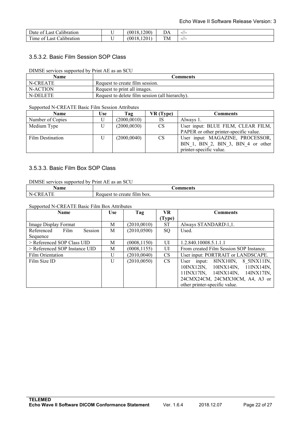<span id="page-21-0"></span>

| Date<br>ast<br>alibration.<br>` OT                               | $.1200^{\circ}$<br>(0018. | DΑ | $-11-$ |
|------------------------------------------------------------------|---------------------------|----|--------|
| 1.1<br>m.<br><sup>'</sup> <sub>1</sub> me<br>. ast<br>alibration | 1201<br>(0018.            | TM | $-11-$ |

#### 3.5.3.2. Basic Film Session SOP Class

#### DIMSE services supported by Print AE as an SCU

| <b>Name</b> | <b>Comments</b>                                 |
|-------------|-------------------------------------------------|
| N-CREATE    | Request to create film session.                 |
| N-ACTION    | Request to print all images.                    |
| N-DELETE    | Request to delete film session (all hierarchy). |

#### Supported N-CREATE Basic Film Session Attributes

| Name             | Use | Tag          | VR (Type) | Comments                               |
|------------------|-----|--------------|-----------|----------------------------------------|
| Number of Copies |     | (2000, 0010) | <b>IS</b> | Always 1.                              |
| Medium Type      |     | (2000, 0030) | <b>CS</b> | User input: BLUE FILM, CLEAR FILM,     |
|                  |     |              |           | PAPER or other printer-specific value. |
| Film Destination |     | (2000, 0040) | <b>CS</b> | User input: MAGAZINE, PROCESSOR,       |
|                  |     |              |           | BIN 1, BIN 2, BIN 3, BIN 4 or other    |
|                  |     |              |           | printer-specific value.                |

#### 3.5.3.3. Basic Film Box SOP Class

#### DIMSE services supported by Print AE as an SCU

| $\sim$ mass $\sim$ | $\cdots$<br>$\sim$<br>mus                         |
|--------------------|---------------------------------------------------|
| - N.,<br>.         | ~<br>box.<br>tılm<br>create<br>m<br>ennes.<br>r c |

#### Supported N-CREATE Basic Film Box Attributes

| . .<br><b>Name</b>            | <b>Use</b> | Tag          | VR.       | <b>Comments</b>                                                                          |
|-------------------------------|------------|--------------|-----------|------------------------------------------------------------------------------------------|
|                               |            |              | (Type)    |                                                                                          |
| Image Display Format          | М          | (2010, 0010) | <b>ST</b> | Always STANDARD\1,1.                                                                     |
| Session<br>Film<br>Referenced | M          | (2010, 0500) | SQ        | Used.                                                                                    |
| Sequence                      |            |              |           |                                                                                          |
| > Referenced SOP Class UID    | M          | (0008, 1150) | UI        | 1.2.840.10008.5.1.1.1                                                                    |
| > Referenced SOP Instance UID | M          | (0008, 1155) | UI        | From created Film Session SOP Instance.                                                  |
| Film Orientation              | U          | (2010, 0040) | <b>CS</b> | User input: PORTRAIT or LANDSCAPE.                                                       |
| Film Size ID                  | U          | (2010, 0050) | <b>CS</b> | 8INX10IN,<br>8 5 INX11 IN,<br>User input:                                                |
|                               |            |              |           | $10\text{IN}X12\text{IN}$ ,<br>$10\text{INX}14\text{IN},$<br>$11\text{IN}X14\text{IN}$ , |
|                               |            |              |           | 14INX14IN,<br>11INX17IN.<br>14INX17IN,                                                   |
|                               |            |              |           | 24CMX24CM, 24CMX30CM, A4, A3 or                                                          |
|                               |            |              |           | other printer-specific value.                                                            |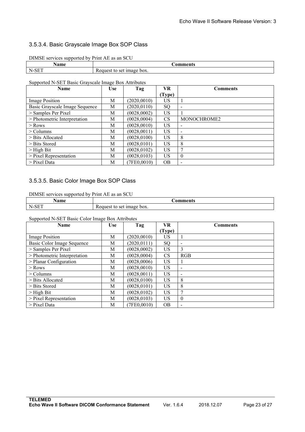#### <span id="page-22-0"></span>3.5.3.4. Basic Grayscale Image Box SOP Class

| DIMSE services supported by Print AE as an SCU |                           |  |  |  |  |
|------------------------------------------------|---------------------------|--|--|--|--|
| Name                                           | Comments                  |  |  |  |  |
| N-SET                                          | Request to set image box. |  |  |  |  |

#### Supported N-SET Basic Grayscale Image Box Attributes

| <b>Name</b>                    | <b>Use</b> | Tag          | VR        | <b>Comments</b>          |
|--------------------------------|------------|--------------|-----------|--------------------------|
|                                |            |              | (Type)    |                          |
| <b>Image Position</b>          | M          | (2020, 0010) | US        |                          |
| Basic Grayscale Image Sequence | M          | (2020, 0110) | SO.       | $\overline{\phantom{0}}$ |
| > Samples Per Pixel            | М          | (0028,0002)  | US        |                          |
| > Photometric Interpretation   | M          | (0028,0004)  | <b>CS</b> | MONOCHROME2              |
| $>$ Rows                       | M          | (0028, 0010) | US        |                          |
| $>$ Columns                    | M          | (0028, 0011) | US        |                          |
| $>$ Bits Allocated             | M          | (0028, 0100) | US        | 8                        |
| > Bits Stored                  | M          | (0028, 0101) | US        | 8                        |
| $>$ High Bit                   | M          | (0028, 0102) | US        | 7                        |
| $>$ Pixel Representation       | M          | (0028, 0103) | US        | $\overline{0}$           |
| $>$ Pixel Data                 | М          | (7FE0,0010)  | <b>OB</b> |                          |

#### 3.5.3.5. Basic Color Image Box SOP Class

#### DIMSE services supported by Print AE as an SCU

| ີ່ດານາດ<br>       | 'Ω¥<br>.<br>$\cdots$     |
|-------------------|--------------------------|
| $-SE^{-}$<br>-N., | box.<br>se<br>пяое<br>лe |

Supported N-SET Basic Color Image Box Attributes

| <b>Name</b>                  | <b>Use</b> | Tag          | VR        | <b>Comments</b>          |
|------------------------------|------------|--------------|-----------|--------------------------|
|                              |            |              | (Type)    |                          |
| Image Position               | М          | (2020, 0010) | US        |                          |
| Basic Color Image Sequence   | М          | (2020, 0111) | SQ        | $\overline{\phantom{a}}$ |
| > Samples Per Pixel          | M          | (0028, 0002) | US        | 3                        |
| > Photometric Interpretation | М          | (0028, 0004) | <b>CS</b> | RGB                      |
| $>$ Planar Configuration     | М          | (0028, 0006) | US        |                          |
| $>$ Rows                     | M          | (0028, 0010) | US        | $\overline{\phantom{a}}$ |
| $>$ Columns                  | M          | (0028, 0011) | US        | ٠                        |
| $>$ Bits Allocated           | M          | (0028, 0100) | US        | 8                        |
| $>$ Bits Stored              | M          | (0028, 0101) | US        | 8                        |
| $>$ High Bit                 | М          | (0028, 0102) | US        | 7                        |
| $>$ Pixel Representation     | M          | (0028, 0103) | US        | $\mathbf{0}$             |
| $>$ Pixel Data               | М          | 7FE0.0010)   | <b>OB</b> | $\overline{\phantom{0}}$ |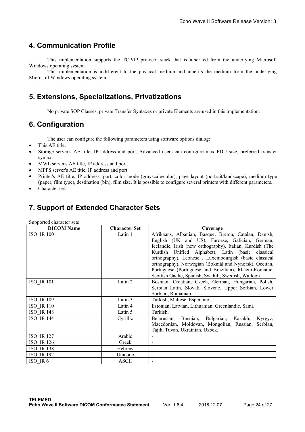# <span id="page-23-0"></span>**4. Communication Profile**

This implementation supports the TCP/IP protocol stack that is inherited from the underlying Microsoft Windows operating system.

This implementation is indifferent to the physical medium and inherits the medium from the underlying Microsoft Windows operating system.

# **5. Extensions, Specializations, Privatizations**

No private SOP Classes, private Transfer Syntaxes or private Elements are used in this implementation.

# **6. Configuration**

The user can configure the following parameters using software options dialog:

- This AE title.
- Storage server's AE title, IP address and port. Advanced users can configure max PDU size, preferred transfer syntax.
- MWL server's AE title, IP address and port.
- MPPS server's AE title, IP address and port.
- Printer's AE title, IP address, port, color mode (grayscale/color), page layout (portrait/landscape), medium type (paper, film type), destination (bin), film size. It is possible to configure several printers with different parameters.
- Character set.

# **7. Support of Extended Character Sets**

| Supported character sets |                      |                                                                                                                                                                                                                                                                                                                                                                                                                                                                 |  |  |  |
|--------------------------|----------------------|-----------------------------------------------------------------------------------------------------------------------------------------------------------------------------------------------------------------------------------------------------------------------------------------------------------------------------------------------------------------------------------------------------------------------------------------------------------------|--|--|--|
| <b>DICOM</b> Name        | <b>Character Set</b> | Coverage                                                                                                                                                                                                                                                                                                                                                                                                                                                        |  |  |  |
| <b>ISO IR 100</b>        | Latin 1              | Afrikaans, Albanian, Basque, Breton, Catalan, Danish,<br>English (UK and US), Faroese, Galician, German,<br>Icelandic, Irish (new orthography), Italian, Kurdish (The<br>Kurdish Unified Alphabet), Latin (basic classical<br>orthography), Leonese, Luxembourgish (basic classical<br>orthography), Norwegian (Bokmål and Nynorsk), Occitan,<br>Portuguese (Portuguese and Brazilian), Rhaeto-Romanic,<br>Scottish Gaelic, Spanish, Swahili, Swedish, Walloon. |  |  |  |
| <b>ISO IR 101</b>        | Latin 2              | Bosnian, Croatian, Czech, German, Hungarian, Polish,<br>Serbian Latin, Slovak, Slovene, Upper Sorbian, Lower<br>Sorbian, Romanian.                                                                                                                                                                                                                                                                                                                              |  |  |  |
| <b>ISO IR 109</b>        | Latin 3              | Turkish, Maltese, Esperanto.                                                                                                                                                                                                                                                                                                                                                                                                                                    |  |  |  |
| <b>ISO IR 110</b>        | Latin 4              | Estonian, Latvian, Lithuanian, Greenlandic, Sami.                                                                                                                                                                                                                                                                                                                                                                                                               |  |  |  |
| <b>ISO IR 148</b>        | Latin 5              | Turkish.                                                                                                                                                                                                                                                                                                                                                                                                                                                        |  |  |  |
| ISO IR 144               | Cyrillic             | Bosnian, Bulgarian, Kazakh,<br>Belarusian,<br>Kyrgyz,<br>Macedonian, Moldovan, Mongolian, Russian, Serbian,<br>Tajik, Tuvan, Ukrainian, Uzbek.                                                                                                                                                                                                                                                                                                                  |  |  |  |
| <b>ISO IR 127</b>        | Arabic               | $\overline{\phantom{a}}$                                                                                                                                                                                                                                                                                                                                                                                                                                        |  |  |  |
| <b>ISO IR 126</b>        | Greek                | $\overline{\phantom{0}}$                                                                                                                                                                                                                                                                                                                                                                                                                                        |  |  |  |
| <b>ISO IR 138</b>        | Hebrew               | $\overline{\phantom{0}}$                                                                                                                                                                                                                                                                                                                                                                                                                                        |  |  |  |
| <b>ISO IR 192</b>        | Unicode              | $\blacksquare$                                                                                                                                                                                                                                                                                                                                                                                                                                                  |  |  |  |
| ISO IR 6                 | <b>ASCII</b>         | $\overline{\phantom{0}}$                                                                                                                                                                                                                                                                                                                                                                                                                                        |  |  |  |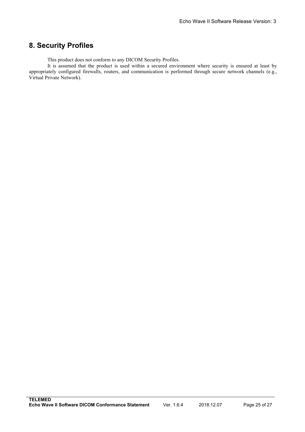# <span id="page-24-0"></span>**8. Security Profiles**

This product does not conform to any DICOM Security Profiles.

It is assumed that the product is used within a secured environment where security is ensured at least by appropriately configured firewalls, routers, and communication is performed through secure network channels (e.g., Virtual Private Network).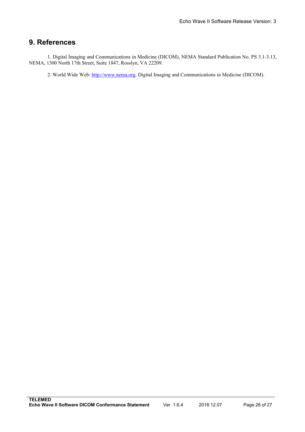# <span id="page-25-0"></span>**9. References**

1. Digital Imaging and Communications in Medicine (DICOM), NEMA Standard Publication No. PS 3.1-3.13, NEMA, 1300 North 17th Street, Suite 1847, Rosslyn, VA 22209.

2. World Wide Web: [http://www.nema.org.](http://www.nema.org) Digital Imaging and Communications in Medicine (DICOM).